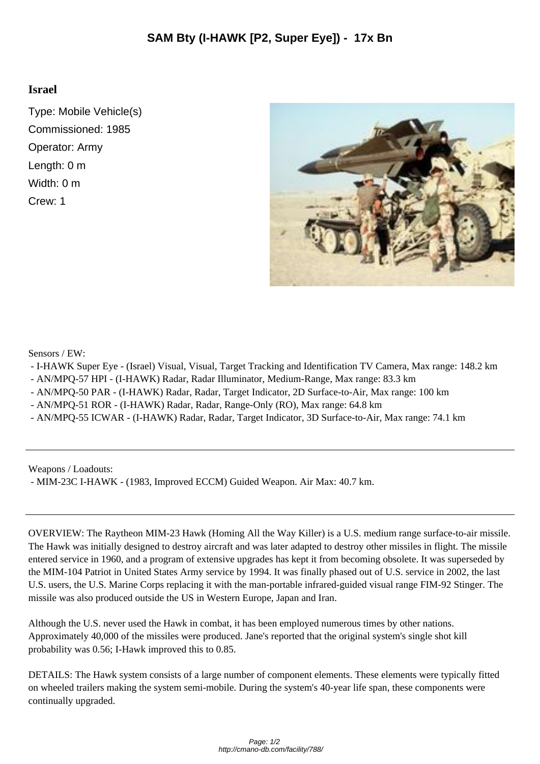## **Israel**

Type: Mobile Vehicle(s) Commissioned: 1985 Operator: Army Length: 0 m Width: 0 m Crew: 1



Sensors / EW:

- I-HAWK Super Eye (Israel) Visual, Visual, Target Tracking and Identification TV Camera, Max range: 148.2 km
- AN/MPQ-57 HPI (I-HAWK) Radar, Radar Illuminator, Medium-Range, Max range: 83.3 km
- AN/MPQ-50 PAR (I-HAWK) Radar, Radar, Target Indicator, 2D Surface-to-Air, Max range: 100 km
- AN/MPQ-51 ROR (I-HAWK) Radar, Radar, Range-Only (RO), Max range: 64.8 km
- AN/MPQ-55 ICWAR (I-HAWK) Radar, Radar, Target Indicator, 3D Surface-to-Air, Max range: 74.1 km

Weapons / Loadouts:

- MIM-23C I-HAWK - (1983, Improved ECCM) Guided Weapon. Air Max: 40.7 km.

OVERVIEW: The Raytheon MIM-23 Hawk (Homing All the Way Killer) is a U.S. medium range surface-to-air missile. The Hawk was initially designed to destroy aircraft and was later adapted to destroy other missiles in flight. The missile entered service in 1960, and a program of extensive upgrades has kept it from becoming obsolete. It was superseded by the MIM-104 Patriot in United States Army service by 1994. It was finally phased out of U.S. service in 2002, the last U.S. users, the U.S. Marine Corps replacing it with the man-portable infrared-guided visual range FIM-92 Stinger. The missile was also produced outside the US in Western Europe, Japan and Iran.

Although the U.S. never used the Hawk in combat, it has been employed numerous times by other nations. Approximately 40,000 of the missiles were produced. Jane's reported that the original system's single shot kill probability was 0.56; I-Hawk improved this to 0.85.

DETAILS: The Hawk system consists of a large number of component elements. These elements were typically fitted on wheeled trailers making the system semi-mobile. During the system's 40-year life span, these components were continually upgraded.